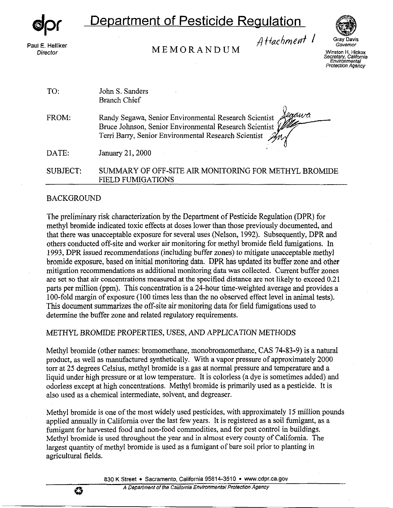*DPR*

# **Department of Pesticide Regulation**

Paul E. Helliker **Director** 

**MEMORANDUM** 



*Governor*  **Winston H. Hickox Secretary, California Environmental Protection Agency** 

| TO:             | John S. Sanders<br><b>Branch Chief</b>                                                                                                                                           |
|-----------------|----------------------------------------------------------------------------------------------------------------------------------------------------------------------------------|
| FROM:           | laawa<br>Randy Segawa, Senior Environmental Research Scientist<br>Bruce Johnson, Senior Environmental Research Scientist<br>Terri Barry, Senior Environmental Research Scientist |
| DATE:           | January 21, 2000                                                                                                                                                                 |
| <b>SUBJECT:</b> | SUMMARY OF OFF-SITE AIR MONITORING FOR METHYL BROMIDE<br><b>FIELD FUMIGATIONS</b>                                                                                                |

## BACKGROUND

Ű

The preliminary risk characterization by the Department of Pesticide Regulation (DPR) for methyl bromide indicated toxic effects at doses lower than those previously documented, and that there was unacceptable exposure for several uses (Nelson, 1992). Subsequently, DPR and others conducted off-site and worker air monitoring for methyl bromide field fumigations. In 1993, DPR issued recommendations (including buffer zones) to mitigate unacceptable methyl bromide exposure, based on initial monitoring data. DPR has updated its buffer zone and other mitigation recommendations as additional monitoring data was collected. Current buffer zones are set so that air concentrations measured at the specified distance are not likely to exceed 0.21 parts per million (ppm). This concentration is a  $2\overline{4}$ -hour time-weighted average and provides a 100-fold margin of exposure (100 times less than the no observed effect level in animal tests). This document summarizes the off-site air monitoring data for field fumigations used to determine the buffer zone and related regulatory requirements.

## METHYL BROMIDE PROPERTIES, USES, AND APPLICATION METHODS

Methyl bromide (other names: bromomethane, monobromomethane, CAS 74-83-9) is a natural product, as well as manufactured synthetically. With a vapor pressure of approximately 2000 torr at 25 degrees Celsius, methyl bromide is a gas at normal pressure and temperature and a liquid under high pressure or at low temperature. It is colorless (a dye is sometimes added) and odorless except at high concentrations. Methyl bromide is primarily used as a pesticide. It is also used as a chemical intermediate, solvent, and degreaser.

Methyl bromide is one of the most widely used pesticides, with approximately 15 million pounds applied annually in California over the last few years. It is registered as a soil fumigant, as a fumigant for harvested food and non-food commodities, and for pest control in buildings. Methyl bromide is used throughout the year and in almost every county of California. The largest quantity of methyl bromide is used as a fumigant of bare soil prior to planting in agricultural fields.

830 K Street • Sacramento, California 95814-3510 • www.cdpr.ca.gov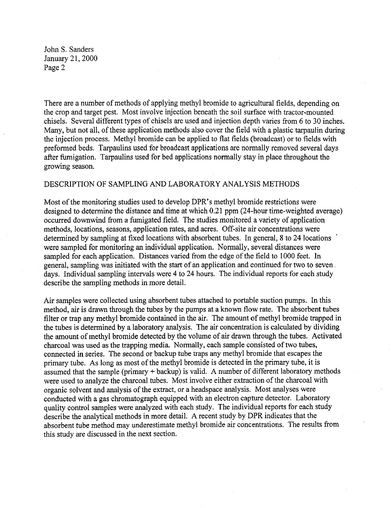There are a number of methods of applying methyl bromide to agricultural fields, depending on the crop and target pest. Most involve injection beneath the soil surface with tractor-mounted chisels. Several different types of chisels are used and injection depth varies from 6 to 30 inches. Many, but not all, of these application methods also cover the field with a plastic tarpaulin during the injection process. Methyl bromide can be applied to flat fields (broadcast) or to fields with preformed beds. Tarpaulins used for broadcast applications are normally removed several days after fumigation. Tarpaulins used for bed applications normally stay in place throughout the growing season.

#### DESCRIPTION OF SAMPLING AND LABORATORY ANALYSIS METHODS

Most of the monitoring studies used to develop DPR's methyl bromide restrictions were designed to determine the distance and time at which 0.21 ppm (24-hour time-weighted average) occurred downwind from a fumigated field. The studies monitored a variety of application methods, locations, seasons, application rates, and acres. Off-site air concentrations were determined by sampling at fixed locations with absorbent tubes. In general, 8 to 24 locations were sampled for monitoring an individual application. Normally, several distances were sampled for each application. Distances varied from the edge of the field to 1000 feet. In general, sampling was initiated with the start of an application and continued for two to seven days. Individual sampling intervals were 4 to 24 hours. The individual reports for each study describe the sampling methods in more detail.

Air samples were collected using absorbent tubes attached to portable suction pumps. In this method, air is drawn through the tubes by the pumps at a known flow rate. The absorbent tubes filter or trap any methyl bromide contained in the air. The amount of methyl bromide trapped in the tubes is determined by a laboratory analysis. The air concentration is calculated by dividing the amount of methyl bromide detected by the volume of air drawn through the tubes. Activated charcoal was used as the trapping media. Normally, each sample consisted of two tubes, connected in series. The second or backup tube traps any methyl bromide that escapes the primary tube. As long as most of the methyl bromide is detected in the primary tube, it is assumed that the sample (primary + backup) is valid. A number of different laboratory methods were used to analyze the charcoal tubes. Most involve either extraction of the charcoal with organic solvent and analysis of the extract, or a headspace analysis. Most analyses were conducted with a gas chromatograph equipped with an electron capture detector. Laboratory quality control samples were analyzed with each study. The individual reports for each study describe the analytical methods in more detail. A recent study by DPR indicates that the absorbent tube method may underestimate methyl bromide air concentrations. The results from this study are discussed in the next section.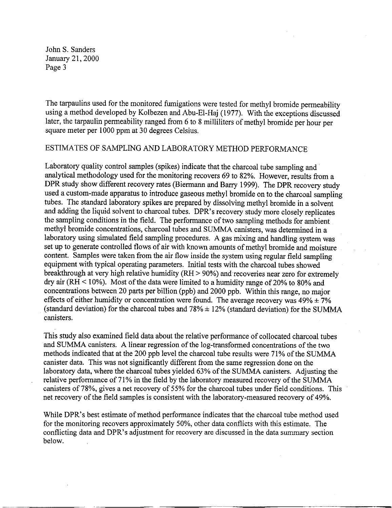The tarpaulins used for the monitored fumigations were tested for methyl bromide permeability using a method developed by Kolbezen and Abu-El-Haj (1977). With the exceptions discussed later, the tarpaulin permeability ranged from 6 to 8 milliliters of methyl bromide per hour per square meter per 1000 ppm at 30 degrees Celsius.

## ESTIMATES OF SAMPLING AND LABORATORY METHOD PERFORMANCE

Laboratory quality control samples (spikes) indicate that the charcoal tube sampling and analytical methodology used for the monitoring recovers 69 to 82%. However, results from a DPR study show different recovery rates (Biermann and Barry 1999). The DPR recovery study used a custom-made apparatus to introduce gaseous methyl bromide on to the charcoal sampling tubes. The standard laboratory spikes are prepared by dissolving methyl bromide in a solvent and adding the liquid solvent to charcoal tubes. DPR's recovery study more closely replicates the sampling conditions in the field. The performance of two sampling methods for ambient methyl bromide concentrations, charcoal tubes and SUMMA canisters, was determined in a laboratory using simulated field sampling procedures. A gas mixing and handling system was set up to generate controlled flows of air with known amounts of methyl bromide and moisture content. Samples were taken from the air flow inside the system using regular field sampling equipment with typical operating parameters. Initial tests with the charcoal tubes showed breakthrough at very high relative humidity (RH > 90%) and recoveries near zero for extremely dry air (RH  $<$  10%). Most of the data were limited to a humidity range of 20% to 80% and concentrations between 20 parts per billion (ppb) and 2000 ppb. Within this range, no major effects of either humidity or concentration were found. The average recovery was  $49\% \pm 7\%$ (standard deviation) for the charcoal tubes and  $78\% \pm 12\%$  (standard deviation) for the SUMMA canisters.

This study also examined field data about the relative performance of collocated charcoal tubes and SUMMA canisters. A linear regression of the log-transformed concentrations of the two methods indicated that at the 200 ppb level the charcoal tube results were 71 % of the SUMMA canister data. This was not significantly different from the same regression done on the laboratory data, where the charcoal tubes yielded 63% of the SUMMA canisters. Adjusting the relative performance of 71% in the field by the laboratory measured recovery of the SUMMA canisters of 78%, gives a net recovery of 55% for the charcoal tubes under field conditions. This net recovery of the field samples is consistent with the laboratory-measured recovery of 49%.

While DPR's best estimate of method performance indicates that the charcoal tube method used for the monitoring recovers approximately 50%, other data conflicts with this estimate. The conflicting data and DPR's adjustment for recovery are discussed in the data summary section below.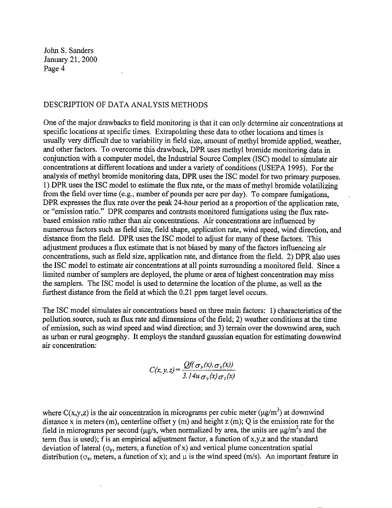## DESCRIPTION OF DATA ANALYSIS METHODS

One of the major drawbacks to field monitoring is that it can only determine air concentrations at specific locations at specific times. Extrapolating these data to other locations and times is usually very difficult due to variability in field size, amount of methyl bromide applied, weather, and other factors. To overcome this drawback, DPR uses methyl bromide monitoring data in conjunction with a computer model, the Industrial Source Complex (ISC) model to simulate air concentrations at different locations and under a variety of conditions (USEPA 1995). For the analysis of methyl bromide monitoring data, DPR uses the ISC model for two primary purposes. 1) DPR uses the ISC model to estimate the flux rate, or the mass of methyl bromide volatilizing from the field over time (e.g., number of pounds per acre per day). To compare fumigations, DPR expresses the flux rate over the peak 24-hour period as a proportion of the application rate, or "emission ratio." DPR compares and contrasts monitored fumigations using the flux ratebased emission ratio rather than air concentrations. Air concentrations are influenced by numerous factors such as field size, field shape, application rate, wind speed, wind direction, and distance from the field. DPR uses the ISC model to adjust for many of these factors. This adjustment produces a flux estimate that is not biased by many of the factors influencing air concentrations, such as field size, application rate, and distance from the field. 2) DPR also uses the ISC model to estimate air concentrations at all points surrounding a monitored field. Since a limited number of samplers are deployed, the plume or area of highest concentration may miss the samplers. The ISC model is used to determine the location of the plume, as well as the furthest distance from the field at which the 0.21 ppm target level occurs.

The ISC model simulates air concentrations based on three main factors: 1) characteristics of the pollution source, such as flux rate and dimensions of the field; 2) weather conditions at the time of emission, such as wind speed and wind direction; and 3) terrain over the downwind area, such as urban or rural geography. It employs the standard gaussian equation for estimating downwind air concentration:

$$
C(x, y, z) = \frac{Qf(\sigma_y(x), \sigma_z(x))}{3.14u \sigma_y(x) \sigma_z(x)}
$$

where  $C(x,y,z)$  is the air concentration in micrograms per cubic meter ( $\mu$ g/m<sup>3</sup>) at downwind distance x in meters (m), centerline offset y (m) and height z (m); Q is the emission rate for the field in micrograms per second ( $\mu$ g/s, when normalized by area, the units are  $\mu$ g/m<sup>2</sup>s and the term flux is used); f is an empirical adjustment factor, a function of x,y ,z and the standard deviation of lateral ( $\sigma_y$ , meters, a function of x) and vertical plume concentration spatial distribution ( $\sigma_z$ , meters, a function of x); and  $\mu$  is the wind speed (m/s). An important feature in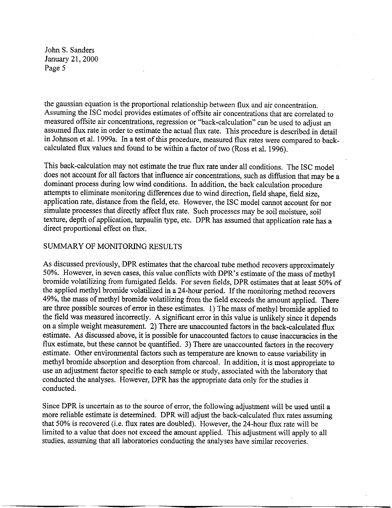the gaussian equation is the proportional relationship between flux and air concentration. Assuming the ISC model provides estimates of offsite air concentrations that are correlated to measured offsite air concentrations, regression or "back-calculation" can be used to adjust an assumed flux rate in order to estimate the actual flux rate. This procedure is described in detail in Johnson et al. 1999a. In a test of this procedure, measured flux rates were compared to backcalculated flux values and found to be within a factor of two (Ross et al. 1996).

This back-calculation may not estimate the true flux rate under all conditions. The ISC model does not account for all factors that influence air concentrations, such as diffusion that may be a dominant process during low wind conditions. In addition, the back calculation procedure attempts to eliminate monitoring differences due to wind direction, field shape, field size, application rate, distance from the field, etc. However, the ISC model cannot account for nor simulate processes that directly affect flux rate. Such processes may be soil moisture, soil texture, depth of application, tarpaulin type, etc. DPR has assumed that application rate has a direct proportional effect on flux.

### SUMMARY OF MONITORING RESULTS

As discussed previously, DPR estimates that the charcoal tube method recovers approximately 50%. However, in seven cases, this value conflicts with DPR's estimate of the mass of methyl bromide volatilizing from fumigated fields. For seven fields, DPR estimates that at least 50% of the applied methyl bromide volatilized in a 24-hour period. If the monitoring method recovers 49%, the mass of methyl bromide volatilizing from the field exceeds the amount applied. There are three possible sources of error in these estimates. 1) The mass of methyl bromide applied to the field was measured incorrectly. A significant error in this value is unlikely since it depends on a simple weight measurement. 2) There are unaccounted factors in the back-calculated flux estimate. As discussed above, it is possible for unaccounted factors to cause inaccuracies in the flux estimate, but these cannot be quantified. 3) There are unaccounted factors in the recovery estimate. Other environmental factors such as temperature are known to cause variability in methyl bromide absorption and desorption from charcoal. In addition, it is most appropriate to use an adjustment factor specific to each sample or study, associated with the laboratory that conducted the analyses. However, DPR has the appropriate data only for the studies it conducted.

Since DPR is uncertain as to the source of error, the following adjustment will be used until a more reliable estimate is determined. DPR will adjust the back-calculated flux rates assuming that 50% is recovered (i.e. flux rates are doubled). However, the 24-hour flux rate will be limited to a value that does not exceed the amount applied. This adjustment will apply to all studies, assuming that all laboratories conducting the analyses have similar recoveries.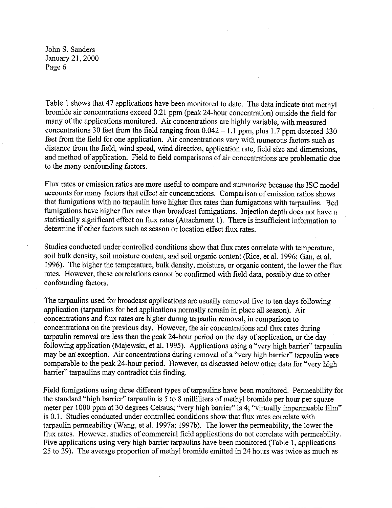Table I shows that 47 applications have been monitored to date. The data indicate that methyl bromide air concentrations exceed 0.21 ppm (peak 24-hour concentration) outside the field for many of the applications monitored. Air concentrations are highly variable, with measured concentrations 30 feet from the field ranging from  $0.042 - 1.1$  ppm, plus 1.7 ppm detected 330 feet from the field for one application. Air concentrations vary with numerous factors such as distance from the field, wind speed, wind direction, application rate, field size and dimensions, and method of application. Field to field comparisons of air concentrations are problematic due to the many confounding factors.

Flux rates or emission ratios are more useful to compare and summarize because the ISC model accounts for many factors that effect air concentrations. Comparison of emission ratios shows that fumigations with no tarpaulin have higher flux rates than fumigations with tarpaulins. Bed fumigations have higher flux rates than broadcast fumigations. Injection depth does not have a statistically significant effect on flux rates (Attachment I). There is insufficient information to determine if other factors such as season or location effect flux rates.

Studies conducted under controlled conditions show that flux rates correlate with temperature, soil bulk density, soil moisture content, and soil organic content (Rice, et al. 1996; Gan, et al. 1996). The higher the temperature, bulk density, moisture, or organic content, the lower the flux rates. However, these correlations cannot be confirmed with field data, possibly due to other confounding factors.

The tarpaulins used for broadcast applications are usually removed five to ten days following application (tarpaulins for bed applications normally remain in place all season). Air concentrations and flux rates are higher during tarpaulin removal, in comparison to concentrations on the previous day. However, the air concentrations and flux rates during tarpaulin removal are less than the peak 24-hour period on the day of application, or the day following application (Majewski, et al. 1995). Applications using a "very high barrier" tarpaulin may be an exception. Air concentrations during removal of a "very high barrier" tarpaulin were comparable to the peak 24-hour period. However, as discussed below other data for "very high barrier" tarpaulins may contradict this finding.

Field fumigations using three different types of tarpaulins have been monitored. Permeability for the standard "high barrier" tarpaulin is 5 to 8 milliliters of methyl bromide per hour per square meter per 1000 ppm at 30 degrees Celsius; "very high barrier" is 4; "virtually impermeable film" is 0.1. Studies conducted under controlled conditions show that flux rates correlate with tarpaulin permeability (Wang, et al. 1997a; 1997b ). The lower the permeability, the lower the flux rates. However, studies of commercial field applications do not correlate with permeability. Five applications using very high barrier tarpaulins have been monitored (Table 1, applications 25 to 29). The average proportion of methyl bromide emitted in 24 hours was twice as much as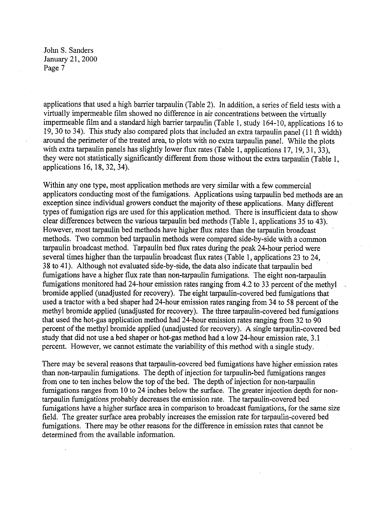applications that used a high barrier tarpaulin (Table 2). In addition, a series of field tests with a virtually impermeable film showed no difference in air concentrations between the virtually impermeable film and a standard high barrier tarpaulin (Table I, study 164-10, applications 16 to 19, 30 to 34). This study also compared plots that included an extra tarpaulin panel (11 ft width) around the perimeter of the treated area, to plots with no extra tarpaulin panel. While the plots with extra tarpaulin panels has slightly lower flux rates (Table 1, applications 17, 19, 31, 33). they were not statistically significantly different from those without the extra tarpaulin (Table I, applications 16, 18, 32, 34).

Within any one type, most application methods are very similar with a few commercial applicators conducting most of the fumigations. Applications using tarpaulin bed methods are an exception since individual growers conduct the majority of these applications. Many different types of fumigation rigs are used for this application method. There is insufficient data to show clear differences between the various tarpaulin bed methods (Table I, applications 35 to 43). However, most tarpaulin bed methods have higher flux rates than the tarpaulin broadcast methods. Two common bed tarpaulin methods were compared side-by-side with a common tarpaulin broadcast method. Tarpaulin bed flux rates during the peak 24-hour period were several times higher than the tarpaulin broadcast flux rates (Table I, applications 23 to 24, 38 to 41 ). Although not evaluated side-by-side, the data also indicate that tarpaulin bed fumigations have a higher flux rate than non-tarpaulin fumigations. The eight non-tarpaulin fumigations monitored had 24-hour emission rates ranging from 4.2 to 33 percent of the methyl bromide applied (unadjusted for recovery). The eight tarpaulin-covered bed fumigations that used a tractor with a bed shaper had 24-hour emission rates ranging from 34 to 58 percent of the methyl bromide applied (unadjusted for recovery). The three tarpaulin-covered bed fumigations that used the hot-gas application method had 24-hour emission rates ranging from 32 to 90 percent of the methyl bromide applied (unadjusted for recovery). A single tarpaulin-covered bed study that did not use a bed shaper or hot-gas method had a low 24-hour emission rate, 3.1 percent. However, we cannot estimate the variability of this method with a single study.

There may be several reasons that tarpaulin-covered bed fumigations have higher emission rates than non-tarpaulin fumigations. The depth of injection for tarpaulin-bed fumigations ranges from one to ten inches below the top of the bed. The depth of injection for non-tarpaulin fumigations ranges from IO to 24 inches below the surface. The greater injection depth for nontarpaulin fumigations probably decreases the emission rate. The tarpaulin-covered bed fumigations have a higher surface area in comparison to broadcast fumigations, for the same size field. The greater surface area probably increases the emission rate for tarpaulin-covered bed fumigations. There may be other reasons for the difference in emission rates that cannot be determined from the available information.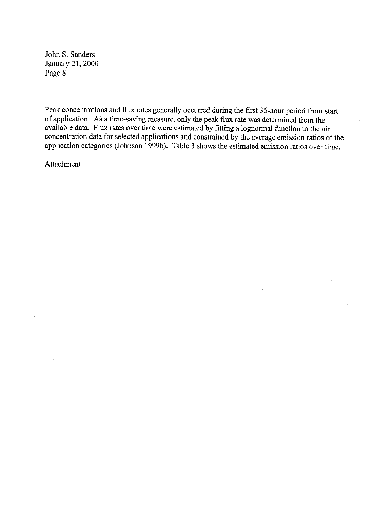Peak concentrations and flux rates generally occurred during the first 36-hour period from start of application. As a time-saving measure, only the peak flux rate was determined from the available data. Flux rates over time were estimated by fitting a lognormal function to the air concentration data for selected applications and constrained by the average emission ratios of the application categories (Johnson 1999b). Table 3 shows the estimated emission ratios over time.

Attachment

 $\bar{z}$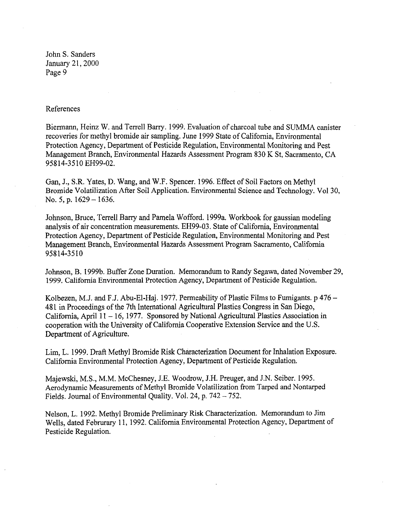#### References

Biermann, Heinz W. and Terrell Barry. 1999. Evaluation of charcoal tube and SUMMA canister recoveries for methyl bromide air sampling. June 1999 State of California, Environmental Protection Agency, Department of Pesticide Regulation, Environmental Monitoring and Pest Management Branch, Environmental Hazards Assessment Program 830 K St, Sacramento, CA 95814-3510 EH99-02.

Gan, J., S.R. Yates, D. Wang, and W.F. Spencer. 1996. Effect of Soil Factors on Methyl Bromide Volatilization After Soil Application. Environmental Science and Technology. Vol 30, No. 5, p. 1629 – 1636.

Johnson, Bruce, Terrell Barry and Pamela Wofford. 1999a. Workbook for gaussian modeling analysis of air concentration measurements. EH99-03. State of California, Environmental Protection Agency, Department of Pesticide Regulation, Environmental Monitoring and Pest Management Branch, Environmental Hazards Assessment Program Sacramento, California 95814-3510

Johnson, B. 1999b. Buffer Zone Duration. Memorandum to Randy Segawa, dated November 29, 1999. California Environmental Protection Agency, Department of Pesticide Regulation.

Kolbezen, M.J. and F.J. Abu-El-Haj. 1977. Permeability of Plastic Films to Fumigants. p 476 – 481 in Proceedings of the 7th International Agricultural Plastics Congress in San Diego, California, April 11 - 16, 1977. Sponsored by National Agricultural Plastics Association in cooperation with the University of California Cooperative Extension Service and the U.S. Department of Agriculture.

Lim, L. 1999. Draft Methyl Bromide Risk Characterization Document for Inhalation Exposure. California Environmental Protection Agency, Department of Pesticide Regulation.

Majewski, M.S., M.M. McChesney, J.E. Woodrow, J.H. Preuger, and J.N. Seiber. 1995. Aerodynamic Measurements of Methyl Bromide Volatilization from Tarped and Nontarped Fields. Journal of Environmental Quality. Vol. 24, p. 742 - 752.

Nelson, L. 1992. Methyl Bromide Preliminary Risk Characterization. Memorandum to Jim Wells, dated Februrary 11, 1992. California Environmental Protection Agency, Department of Pesticide Regulation.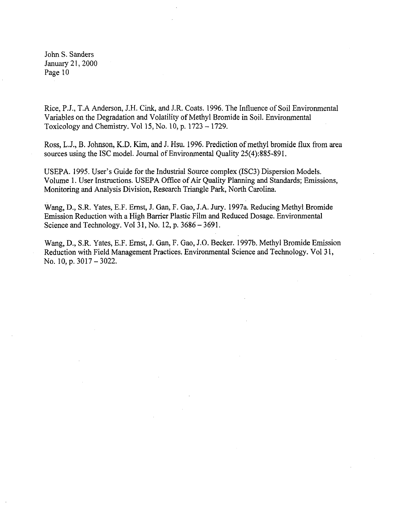Rice, P.J., T.A Anderson, J.H. Cink, and J.R. Coats. 1996. The Influence of Soil Environmental Variables on the Degradation and Volatility of Methyl Bromide in Soil. Environmental Toxicology and Chemistry. Vol 15, No. 10, p.  $1723 - 1729$ .

Ross, L.J., B. Johnson, **K.D.** Kim, and J. Hsu. 1996. Prediction of methyl bromide flux from area sources using the ISC model. Journal of Environmental Quality 25(4):885-891.

USEPA. 1995. User's Guide for the Industrial Source complex (ISC3) Dispersion Models. Volume I. User Instructions. USEPA Office of Air Quality Planning and Standards; Emissions, Monitoring and Analysis Division, Research Triangle Park, North Carolina.

Wang, **D.,** S.R. Yates, E.F. Ernst, **J.** Gan, F. Gao, J.A. Jury. 1997a. Reducing Methyl Bromide Emission Reduction with a High Barrier Plastic Film and Reduced Dosage. Environmental Science and Technology. Vol 31, No. 12, p. 3686-3691.

Wang, D., S.R. Yates, E.F. Ernst, **J.** Gan, F. Gao, J.O. Becker. 1997b. Methyl Bromide Emission Reduction with Field Management Practices. Environmental Science and Technology. Vol 31, No. 10, p. 3017 - 3022.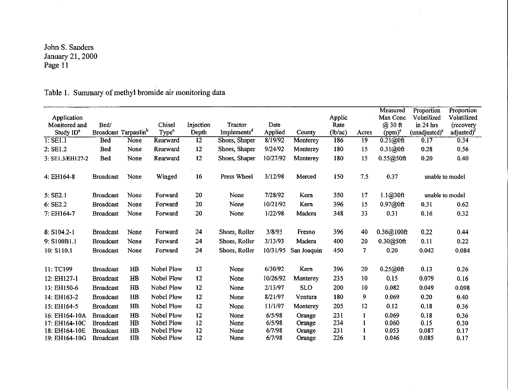|                              |                  |                                  |                   |                 |                         |          |             |                |                 | Measured            | Proportion                 | Proportion                          |
|------------------------------|------------------|----------------------------------|-------------------|-----------------|-------------------------|----------|-------------|----------------|-----------------|---------------------|----------------------------|-------------------------------------|
| Application<br>Monitored and | Bed/             |                                  | Chisel            | Injection       | Tractor                 | Date     |             | Applic<br>Rate |                 | Max Conc<br>@ 30 ft | Volatilized<br>$in 24$ hrs | Volatilized                         |
| Study ID <sup>a</sup>        |                  | Broadcast Tarpaulin <sup>b</sup> | Type <sup>e</sup> | Depth           | Implements <sup>d</sup> | Applied  | County      | (lb/ac)        | Acres           | $(ppm)^c$           | (unadjusted) <sup>e</sup>  | (recovery<br>adjusted) <sup>f</sup> |
| $I:$ SEI.1                   | <b>Bed</b>       | None                             | Rearward          | $\overline{12}$ | Shoes, Shaper           | 8/19/92  | Monterey    | 186            | $\overline{19}$ | $0.21@0$ ft         | 0.17                       | 0.34                                |
| 2: SE1.2                     | <b>Bed</b>       | None                             | Rearward          | 12              | Shoes, Shaper           | 9/24/92  | Monterey    | 180            | 15              | 0.31@0ft            | 0.28                       | 0.56                                |
|                              |                  |                                  |                   | 12              |                         | 10/27/92 |             | 180            |                 |                     |                            |                                     |
| 3: SE1.3/EH127-2             | <b>Bed</b>       | None                             | Rearward          |                 | Shoes, Shaper           |          | Monterey    |                | 15              | $0.55@50$ ft        | 0.20                       | 0.40                                |
| 4: EH164-8                   | <b>Broadcast</b> | None                             | Winged            | 16              | Press Wheel             | 3/12/98  | Merced      | 150            | 7.5             | 0.37                | unable to model            |                                     |
| 5: SE2.1                     | <b>Broadcast</b> | None                             | Forward           | 20              | None                    | 7/28/92  | Kern        | 350            | 17              | 1.1@30ft            | unable to model            |                                     |
| 6: SE2.2                     | <b>Broadcast</b> | None                             | Forward           | 20              | None                    | 10/21/92 | Kern        | 396            | 15              | 0.97@0ft            | 0.31                       | 0.62                                |
| 7: EH164-7                   | <b>Broadcast</b> | None                             | Forward           | 20              | None                    | 1/22/98  | Madera      | 348            | 33              | 0.31                | 0.16                       | 0.32                                |
|                              |                  |                                  |                   |                 |                         |          |             |                |                 |                     |                            |                                     |
| 8: S104.2-1                  | <b>Broadcast</b> | None                             | Forward           | 24              | Shoes, Roller           | 3/8/93   | Fresno      | 396            | 40              | 0.36@100ft          | 0.22                       | 0.44                                |
| 9: S100B1.1                  | <b>Broadcast</b> | None                             | Forward           | 24              | Shoes, Roller           | 3/13/93  | Madera      | 400            | 20              | 0.30@50ft           | 0.11                       | 0.22                                |
| 10: S110.1                   | <b>Broadcast</b> | None                             | Forward           | 24              | Shoes, Roller           | 10/31/95 | San Joaquin | 450            | 7               | 0.20                | 0.042                      | 0.084                               |
| 11: TC199                    | <b>Broadcast</b> | H <sub>B</sub>                   | Nobel Plow        | 12              | None                    | 6/30/92  | Kem         | 396            | 20              | 0.25@0ft            | 0.13                       | 0.26                                |
| 12: EH127-1                  | <b>Broadcast</b> | HB                               | Nobel Plow        | 12              | None                    | 10/26/92 |             | 235            | 10              | 0.15                | 0.079                      | 0.16                                |
|                              |                  |                                  |                   |                 |                         |          | Monterey    |                |                 |                     |                            |                                     |
| 13: EH150-6                  | <b>Broadcast</b> | H <sub>B</sub>                   | Nobel Plow        | 12              | None                    | 2/13/97  | <b>SLO</b>  | 200            | 10              | 0.082               | 0.049                      | 0.098                               |
| 14: EH163-2                  | <b>Broadcast</b> | H <sub>B</sub>                   | Nobel Plow        | 12              | None                    | 8/21/97  | Ventura     | 180            | 9               | 0.069               | 0.20                       | 0.40                                |
| 15: EH164-5                  | <b>Broadcast</b> | H <sub>B</sub>                   | Nobel Plow        | 12              | None                    | 11/1/97  | Monterey    | 205            | 12              | 0.12                | 0.18                       | 0.36                                |
| 16: EH164-10A                | <b>Broadcast</b> | H <sub>B</sub>                   | Nobel Plow        | 12              | None                    | 6/5/98   | Orange      | 231            | Ł               | 0.069               | 0.18                       | 0.36                                |
| 17: EH164-10C                | <b>Broadcast</b> | H <sub>B</sub>                   | Nobel Plow        | 12              | None                    | 6/5/98   | Orange      | 234            |                 | 0.060               | 0.15                       | 0.30                                |
| 18: EH164-10E                | <b>Broadcast</b> | HB                               | Nobel Plow        | 12              | None                    | 6/7/98   | Orange      | 231            |                 | 0.053               | 0.087                      | 0.17                                |
| 19: EH164-10G                | <b>Broadcast</b> | H <sub>B</sub>                   | Nobel Plow        | 12              | None                    | 6/7/98   | Orange      | 226            |                 | 0.046               | 0.085                      | 0.17                                |

## Table **1.** Summary of methyl bromide air monitoring data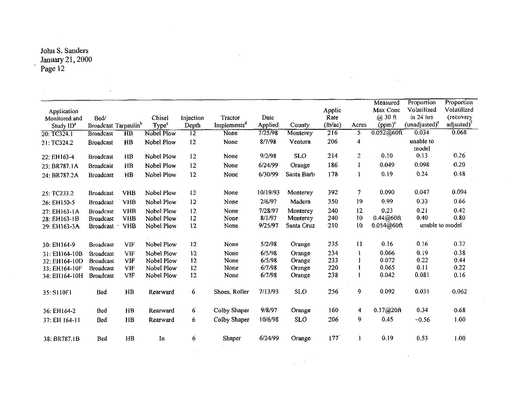l.

 $\mathcal{L}^{\text{max}}_{\text{max}}$  and  $\mathcal{L}^{\text{max}}_{\text{max}}$ 

 $\mathcal{L}_{\text{max}}$ 

| <b>Application</b><br>Monitored and<br>Study $1D^a$ | Bed/                                 | Broadcast Tarpaulin <sup>b</sup> | Chisel<br>Type <sup>c</sup> | Injection<br>Depth | Tractor<br>Implements <sup>d</sup> | Date<br>Applied   | County               | <b>Applic</b><br>Rate<br>(lb/ac) | Acres          | Measured<br>Max Conc<br>$(a)$ 30 $ft$<br>$(ppm)^e$ | Proportion<br>Volatilized<br>in $24$ hrs<br>$(unadjusted)^c$ | Proportion<br>Volatilized<br>(recovery<br>adjusted) <sup>t</sup> |
|-----------------------------------------------------|--------------------------------------|----------------------------------|-----------------------------|--------------------|------------------------------------|-------------------|----------------------|----------------------------------|----------------|----------------------------------------------------|--------------------------------------------------------------|------------------------------------------------------------------|
| 20: TC324.1                                         | <b>Broadcast</b>                     | $\overline{HB}$                  | Nobel Plow                  | $\overline{12}$    | None                               | 7/25/98           | Monterey             | $\overline{216}$                 | 5              | $0.052@60$ ft                                      | 0.034                                                        | 0.068                                                            |
| 21: TC324.2                                         | <b>Broadcast</b>                     | H <sub>B</sub>                   | Nobel Plow                  | 12                 | None                               | 8/7/98            | Ventura              | 206                              | 4              |                                                    | unable to<br>model                                           |                                                                  |
| 22: EH163-4                                         | <b>Broadcast</b>                     | H <sub>B</sub>                   | Nobel Plow                  | 12                 | None                               | 9/2/98            | <b>SLO</b>           | 214                              | $\overline{2}$ | 0.10                                               | 0.13                                                         | 0.26                                                             |
| 23: BR787.1A                                        | <b>Broadcast</b>                     | $_{\rm HB}$                      | Nobel Plow                  | 12                 | None                               | 6/24/99           | Orange               | 186                              | 1              | 0.049                                              | 0.098                                                        | 0.20                                                             |
| 24: BR787.2A                                        | <b>Broadcast</b>                     | HB                               | Nobel Plow                  | 12                 | None                               | 6/30/99           | Santa Barb           | 178                              | ı              | 0.19                                               | 0.24                                                         | 0.48                                                             |
| 25: TC233.2                                         | <b>Broadcast</b>                     | <b>VHB</b>                       | Nobel Plow                  | 12                 | None                               | 10/19/93          | Monterey             | 392                              | 7              | 0.090                                              | 0.047                                                        | 0.094                                                            |
| 26: EH150-5                                         | <b>Broadcast</b>                     | <b>VHB</b>                       | Nobel Plow                  | 12                 | None                               | 2/6/97            | Madera               | 350                              | 19             | 0.99                                               | 0.33                                                         | 0.66                                                             |
| 27: EH163-1A<br>28: EH163-1B                        | <b>Broadcast</b><br><b>Broadcast</b> | <b>VHB</b><br><b>VHB</b>         | Nobel Plow<br>Nobel Plow    | 12<br>12           | None<br>None                       | 7/28/97<br>8/1/97 | Monterey<br>Monterey | 240<br>240                       | 12<br>10       | 0.23<br>0.44@60ft                                  | 0.21<br>0.40                                                 | 0.42<br>0.80                                                     |
| 29: EH163-3A                                        | <b>Broadcast</b>                     | <b>VHB</b>                       | Nobel Plow                  | 12                 | None                               | 9/25/97           | Santa Cruz           | 210                              | 10             | 0.054@60ft                                         | unable to model                                              |                                                                  |
| 30: EH164-9                                         | <b>Broadcast</b>                     | VIF                              | Nobel Plow                  | 12                 | None                               | 5/2/98            | Orange               | 235                              | $\mathbf{11}$  | 0.16                                               | 0.16                                                         | 0.32                                                             |
| 31: EH164-10B                                       | <b>Broadcast</b>                     | VIF                              | Nobel Plow                  | 12                 | None                               | 6/5/98            | Orange               | 234                              | A.             | 0.066                                              | 0.19                                                         | 0.38                                                             |
| 32: EH164-10D                                       | <b>Broadcast</b>                     | <b>VIF</b>                       | Nobel Plow                  | 12                 | None                               | 6/5/98            | Orange               | 233                              |                | 0.072                                              | 0.22                                                         | 0.44                                                             |
| 33: EH164-10F                                       | <b>Broadcast</b>                     | VIF                              | Nobel Plow                  | 12                 | None                               | 6/7/98            | Orange               | 220                              | 1              | 0.065<br>0.042                                     | 0.11<br>0.081                                                | 0.22<br>0.16                                                     |
| 34: EH164-10H                                       | <b>Broadcast</b>                     | VIF                              | Nobel Plow                  | 12                 | None                               | 6/7/98            | Orange               | 238                              |                |                                                    |                                                              |                                                                  |
| 35: S110F1                                          | Bed                                  | H <sub>B</sub>                   | Rearward                    | 6                  | Shoes, Roller                      | 7/13/93           | <b>SLO</b>           | 256                              | 9              | 0.092                                              | 0.031                                                        | 0.062                                                            |
| 36: EH164-2                                         | Bed                                  | H <sub>B</sub>                   | Rearward                    | 6                  | Colby Shaper                       | 9/8/97            | Orange               | 160                              | 4              | 0.17@20ft                                          | 0.34                                                         | 0.68                                                             |
| 37: EH 164-11                                       | Bed                                  | $\mathbf{H}$                     | Rearward                    | 6                  | Colby Shaper                       | 10/6/98           | <b>SLO</b>           | 206                              | 9              | 0.45                                               | $-0.56$                                                      | 1.00                                                             |
| 38: BR787.1B                                        | Bed                                  | <b>HB</b>                        | In                          | 6                  | Shaper                             | 6/24/99           | Orange               | 177                              |                | 0.19                                               | 0.53                                                         | 1.00                                                             |

 $\ddot{\phantom{1}}$ 

 $\sim$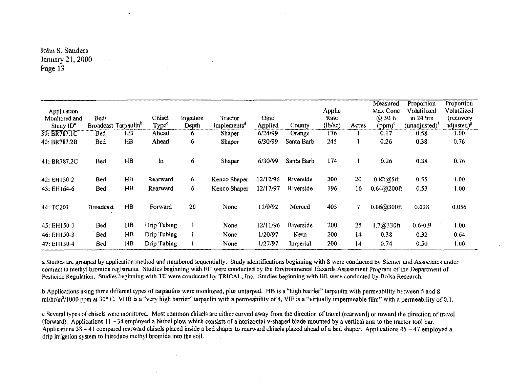| Application<br>Monitored and<br>Study 1D <sup>a</sup> | Bed/             | Broadcast Tarpaulin <sup>b</sup> | Chisel<br>Type <sup>e</sup> | Injection<br>Depth | Tractor<br>Implements <sup>d</sup> | Date<br>Applied | County     | Applic<br>Rate<br>(lb/ac) | Acres | Measured<br>Max Conc<br>$(2)$ 30 ft<br>$(ppm)^e$ | Proportion<br>Volatilized<br>$\sin 24$ hrs<br>$(unadjusted)^{t}$ | Proportion<br>Volatilized<br>(recovery<br>adjusted) <sup>8</sup> |
|-------------------------------------------------------|------------------|----------------------------------|-----------------------------|--------------------|------------------------------------|-----------------|------------|---------------------------|-------|--------------------------------------------------|------------------------------------------------------------------|------------------------------------------------------------------|
| 39: BR787.1C                                          | Bed              | $\overline{HB}$                  | Ahead                       | 6                  | Shaper                             | 6/24/99         | Orange     | 176                       |       | 0.17                                             | 0.58                                                             | $\overline{1.00}$                                                |
| 40: BR787.2B                                          | Bed              | H <sub>B</sub>                   | Ahead                       | 6                  | Shaper                             | 6/30/99         | Santa Barb | 245                       |       | 0.26                                             | 0.38                                                             | 0.76                                                             |
| 41: BR787.2C                                          | Bed              | HB                               | In                          | 6                  | Shaper                             | 6/30/99         | Santa Barb | 174                       |       | 0.26                                             | 0.38                                                             | 0.76                                                             |
| 42: EH150-2                                           | Bed              | HB                               | Rearward                    | 6                  | Kenco Shaper                       | 12/12/96        | Riverside  | 200                       | 20    | 0.82@5ft                                         | 0.55                                                             | 1.00                                                             |
| 43: EH164-6                                           | Bed              | $\overline{AB}$                  | Rearward                    | 6                  | Kenco Shaper                       | 12/17/97        | Riverside  | 196                       | 16    | 0.64@200f                                        | 0.53                                                             | 1.00                                                             |
| 44: TC203                                             | <b>Broadcast</b> | HB                               | Forward                     | 20                 | None                               | 11/9/92         | Merced     | 405                       | 7     | 0.06@300ft                                       | 0.028                                                            | 0.056                                                            |
| 45: EH150-1                                           | Bed              | HB                               | <b>Drip Tubing</b>          |                    | None                               | 12/11/96        | Riverside  | 200                       | 25    | 1.7@330ft                                        | $0.6 - 0.9$                                                      | 1.00                                                             |
| 46: EH150-3                                           | Bed              | HВ                               | Drip Tubing                 |                    | None                               | 1/20/97         | Kern       | 200                       | 14    | 0.38                                             | 0.32                                                             | 0.64                                                             |
| 47: EH150-4                                           | Bed              | HB                               | <b>Drip Tubing</b>          |                    | None                               | 1/27/97         | Imperial   | 200                       | 14    | 0.74                                             | 0.50                                                             | 1.00                                                             |

a Studies are grouped by application method and numbered sequentially. Study identifications beginning with S were conducted by Siemer and Associates under contract to methyl bromide registrants. Studies beginning with EH were conducted by the Environmental Hazards Assessment Program of the Department of Pesticide Regulation. Studies beginning with TC were conducted by TRICAL, Inc. Studies beginning with BR were conducted by Bolsa Research.

b Applications using three different types of tarpaulins were monitored, plus untarped. HB is a "high barrier" tarpaulin with permeability between *5* and 8 ml/hr/m<sup>2</sup>/1000 ppm at 30° C. VHB is a "very high barrier" tarpaulin with a permeability of 4. VIF is a "virtually impermeable film" with a permeability of 0.1.

c Several types of chisels were monitored. Most common chisels are either curved away from the direction of travel (rearward) or toward the direction of travel (forward). Applications 11 - 34 employed a Nobel plow which consists of a horizontal v-shaped blade mounted by a vertical arm to the tractor tool bar. Applications  $38 - 41$  compared rearward chisels placed inside a bed shaper to rearward chisels placed ahead of a bed shaper. Applications  $45 - 47$  employed a drip irrigation system to introduce methyl bromide into the soil.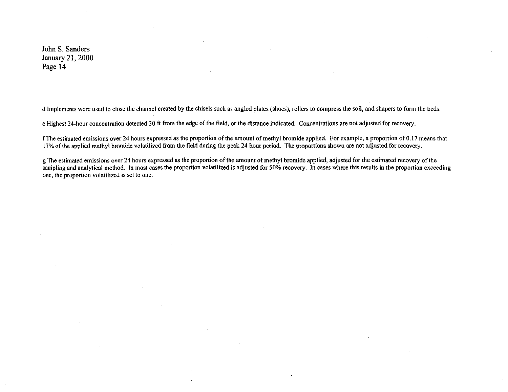d Implements were used to close the channel created by the chisels such as angled plates (shoes), rollers to compress the soil, and shapers to form the beds.

e Highest 24-hour concentration detected 30 ft from the edge of the field, or the distance indicated. Concentrations are not adjusted for recovery.

f The estimated emissions over 24 hours expressed as the proportion of the amount of methyl bromide applied. For example, a proportion of 0.17 means that 17% of the applied methyl bromide volatilized from the field during the peak 24 hour period. The proportions shown are not adjusted for recovery.

g The estimated emissions over 24 hours expressed as the proportion of the amount of methyl bromide applied, adjusted for the estimated recovery of the sampling and analytical method. In most cases the proportion volatilized is adjusted for 50% recovery. In cases where this results in the proportion exceeding one, the proportion volatilized is set to one.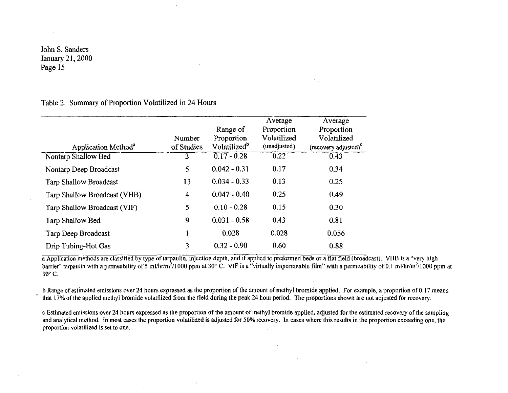## Table 2. Summary of Proportion Volatilized in 24 Hours

| Application Method <sup>a</sup> | Number<br>of Studies | Range of<br>Proportion<br>Volatilized <sup>b</sup> | Average<br>Proportion<br>Volatilized<br>(unadjusted) | Average<br>Proportion<br>Volatilized<br>(recovery adjusted) <sup>c</sup> |
|---------------------------------|----------------------|----------------------------------------------------|------------------------------------------------------|--------------------------------------------------------------------------|
| Nontarp Shallow Bed             | 3                    | $0.17 - 0.28$                                      | 0.22                                                 | 0.43                                                                     |
| Nontarp Deep Broadcast          | 5                    | $0.042 - 0.31$                                     | 0.17                                                 | 0.34                                                                     |
| <b>Tarp Shallow Broadcast</b>   | 13                   | $0.034 - 0.33$                                     | 0.13                                                 | 0.25                                                                     |
| Tarp Shallow Broadcast (VHB)    | $\overline{4}$       | $0.047 - 0.40$                                     | 0.25                                                 | 0.49                                                                     |
| Tarp Shallow Broadcast (VIF)    | 5                    | $0.10 - 0.28$                                      | 0.15                                                 | 0.30                                                                     |
| Tarp Shallow Bed                | 9                    | $0.031 - 0.58$                                     | 0.43                                                 | 0.81                                                                     |
| Tarp Deep Broadcast             |                      | 0.028                                              | 0.028                                                | 0.056                                                                    |
| Drip Tubing-Hot Gas             | 3                    | $0.32 - 0.90$                                      | 0.60                                                 | 0.88                                                                     |

a Application methods are classified by type of tarpaulin, injection depth, and if applied to preformed beds or a flat field (broadcast). VHB is a "very high barrier" tarpaulin with a permeability of 5 ml/hr/m<sup>2</sup>/1000 ppm at 30° C. VIF is a "virtually impermeable film" with a permeability of 0.1 ml/hr/m<sup>2</sup>/1000 ppm at 30° C.

b Range of estimated emissions over 24 hours expressed as the proportion of the amount of methyl bromide applied. For example, a proportion of 0.17 means that 17% of the applied methyl bromide volatilized from the field during the peak 24 hour period. The proportions shown are not adjusted for recovery.

c Estimated emissions over 24 hours expressed as the proportion of the amount of methyl bromide applied, adjusted for the estimated recovery of the sampling and analytical method. In most cases the proportion volatilized is adjusted for 50% recovery. In cases where this results in the proportion exceeding one, the proportion volatilized is set to one.